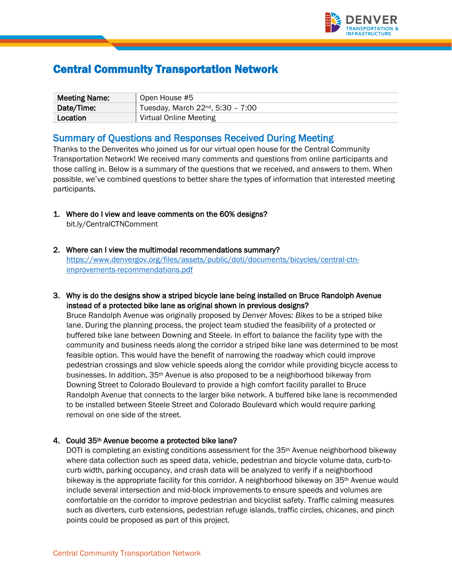

# Central Community Transportation Network

| <b>Meeting Name:</b> | Open House #5                          |
|----------------------|----------------------------------------|
| Date/Time:           | Tuesday, March $22^{nd}$ , 5:30 - 7:00 |
| Location             | Virtual Online Meeting                 |

# Summary of Questions and Responses Received During Meeting

Thanks to the Denverites who joined us for our virtual open house for the Central Community Transportation Network! We received many comments and questions from online participants and those calling in. Below is a summary of the questions that we received, and answers to them. When possible, we've combined questions to better share the types of information that interested meeting participants.

- 1. Where do I view and leave comments on the 60% designs? bit.ly/CentralCTNComment
- 2. Where can I view the multimodal recommendations summary? [https://www.denvergov.org/files/assets/public/doti/documents/bicycles/central-ctn](https://www.denvergov.org/files/assets/public/doti/documents/bicycles/central-ctn-improvements-recommendations.pdf)[improvements-recommendations.pdf](https://www.denvergov.org/files/assets/public/doti/documents/bicycles/central-ctn-improvements-recommendations.pdf)
- 3. Why is do the designs show a striped bicycle lane being installed on Bruce Randolph Avenue instead of a protected bike lane as original shown in previous designs?

Bruce Randolph Avenue was originally proposed by *Denver Moves: Bikes* to be a striped bike lane. During the planning process, the project team studied the feasibility of a protected or buffered bike lane between Downing and Steele. In effort to balance the facility type with the community and business needs along the corridor a striped bike lane was determined to be most feasible option. This would have the benefit of narrowing the roadway which could improve pedestrian crossings and slow vehicle speeds along the corridor while providing bicycle access to businesses. In addition, 35th Avenue is also proposed to be a neighborhood bikeway from Downing Street to Colorado Boulevard to provide a high comfort facility parallel to Bruce Randolph Avenue that connects to the larger bike network. A buffered bike lane is recommended to be installed between Steele Street and Colorado Boulevard which would require parking removal on one side of the street.

#### 4. Could 35th Avenue become a protected bike lane?

DOTI is completing an existing conditions assessment for the 35<sup>th</sup> Avenue neighborhood bikeway where data collection such as speed data, vehicle, pedestrian and bicycle volume data, curb-tocurb width, parking occupancy, and crash data will be analyzed to verify if a neighborhood bikeway is the appropriate facility for this corridor. A neighborhood bikeway on 35th Avenue would include several intersection and mid-block improvements to ensure speeds and volumes are comfortable on the corridor to improve pedestrian and bicyclist safety. Traffic calming measures such as diverters, curb extensions, pedestrian refuge islands, traffic circles, chicanes, and pinch points could be proposed as part of this project.